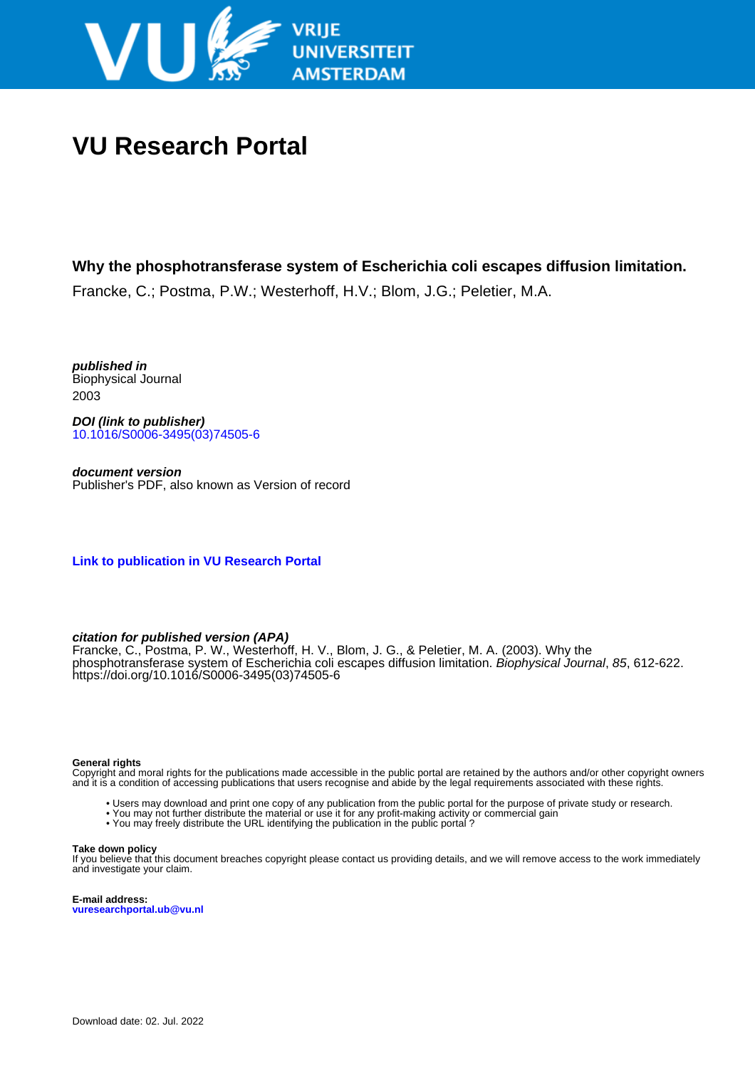

# **VU Research Portal**

# **Why the phosphotransferase system of Escherichia coli escapes diffusion limitation.**

Francke, C.; Postma, P.W.; Westerhoff, H.V.; Blom, J.G.; Peletier, M.A.

**published in** Biophysical Journal 2003

**DOI (link to publisher)** [10.1016/S0006-3495\(03\)74505-6](https://doi.org/10.1016/S0006-3495(03)74505-6)

**document version** Publisher's PDF, also known as Version of record

**[Link to publication in VU Research Portal](https://research.vu.nl/en/publications/5dd8136f-59a1-459b-aac0-ec504f7b9b46)**

# **citation for published version (APA)**

Francke, C., Postma, P. W., Westerhoff, H. V., Blom, J. G., & Peletier, M. A. (2003). Why the phosphotransferase system of Escherichia coli escapes diffusion limitation. Biophysical Journal, 85, 612-622. [https://doi.org/10.1016/S0006-3495\(03\)74505-6](https://doi.org/10.1016/S0006-3495(03)74505-6)

#### **General rights**

Copyright and moral rights for the publications made accessible in the public portal are retained by the authors and/or other copyright owners and it is a condition of accessing publications that users recognise and abide by the legal requirements associated with these rights.

- Users may download and print one copy of any publication from the public portal for the purpose of private study or research.
- You may not further distribute the material or use it for any profit-making activity or commercial gain
- You may freely distribute the URL identifying the publication in the public portal ?

#### **Take down policy**

If you believe that this document breaches copyright please contact us providing details, and we will remove access to the work immediately and investigate your claim.

**E-mail address: vuresearchportal.ub@vu.nl**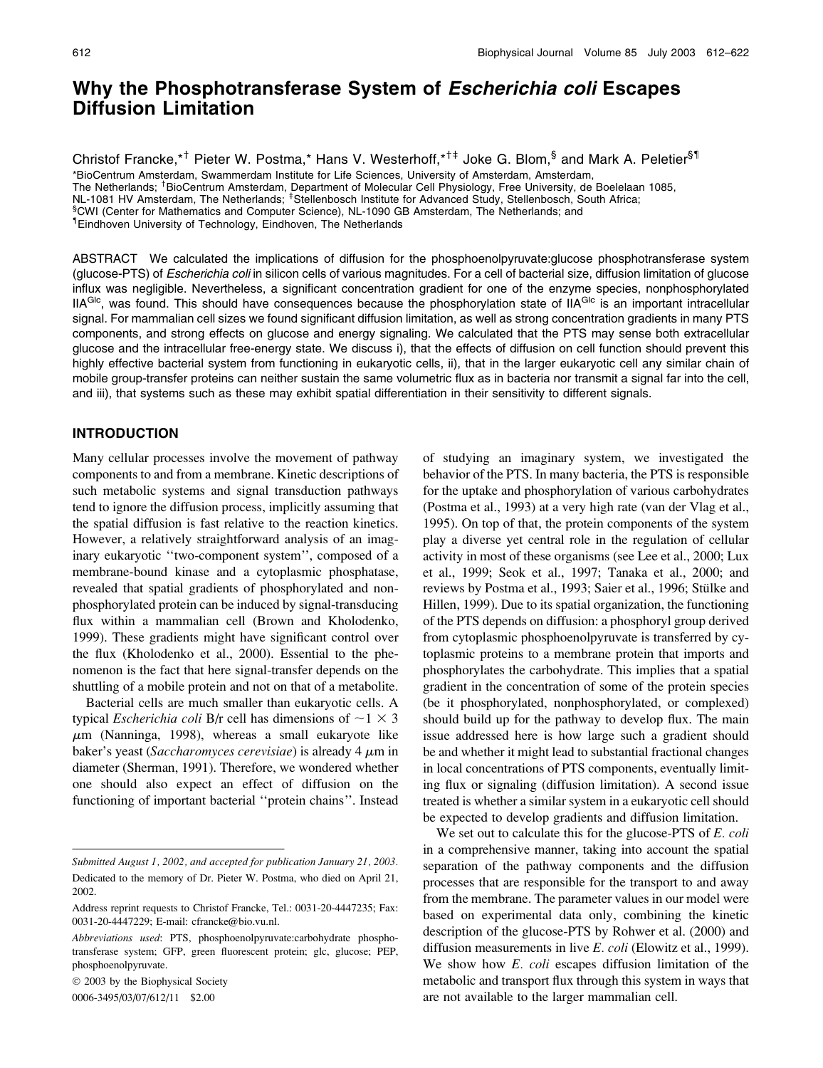# Why the Phosphotransferase System of Escherichia coli Escapes Diffusion Limitation

Christof Francke,\*<sup>†</sup> Pieter W. Postma,\* Hans V. Westerhoff,\*<sup>†‡</sup> Joke G. Blom,§ and Mark A. Peletier<sup>§¶</sup> \*BioCentrum Amsterdam, Swammerdam Institute for Life Sciences, University of Amsterdam, Amsterdam, The Netherlands; <sup>†</sup>BioCentrum Amsterdam, Department of Molecular Cell Physiology, Free University, de Boelelaan 1085,<br>NL-1081 HV Amsterdam, The Netherlands; <sup>‡</sup>Stellenbosch Institute for Advanced Study, Stellenbosch, Sout CWI (Center for Mathematics and Computer Science), NL-1090 GB Amsterdam, The Netherlands; and <sup>1</sup>Eindhoven University of Technology, Eindhoven, The Netherlands

ABSTRACT We calculated the implications of diffusion for the phosphoenolpyruvate:glucose phosphotransferase system (glucose-PTS) of Escherichia coli in silicon cells of various magnitudes. For a cell of bacterial size, diffusion limitation of glucose influx was negligible. Nevertheless, a significant concentration gradient for one of the enzyme species, nonphosphorylated IIA<sup>GIc</sup>, was found. This should have consequences because the phosphorylation state of IIA<sup>GIc</sup> is an important intracellular signal. For mammalian cell sizes we found significant diffusion limitation, as well as strong concentration gradients in many PTS components, and strong effects on glucose and energy signaling. We calculated that the PTS may sense both extracellular glucose and the intracellular free-energy state. We discuss i), that the effects of diffusion on cell function should prevent this highly effective bacterial system from functioning in eukaryotic cells, ii), that in the larger eukaryotic cell any similar chain of mobile group-transfer proteins can neither sustain the same volumetric flux as in bacteria nor transmit a signal far into the cell, and iii), that systems such as these may exhibit spatial differentiation in their sensitivity to different signals.

#### INTRODUCTION

Many cellular processes involve the movement of pathway components to and from a membrane. Kinetic descriptions of such metabolic systems and signal transduction pathways tend to ignore the diffusion process, implicitly assuming that the spatial diffusion is fast relative to the reaction kinetics. However, a relatively straightforward analysis of an imaginary eukaryotic ''two-component system'', composed of a membrane-bound kinase and a cytoplasmic phosphatase, revealed that spatial gradients of phosphorylated and nonphosphorylated protein can be induced by signal-transducing flux within a mammalian cell (Brown and Kholodenko, 1999). These gradients might have significant control over the flux (Kholodenko et al., 2000). Essential to the phenomenon is the fact that here signal-transfer depends on the shuttling of a mobile protein and not on that of a metabolite.

Bacterial cells are much smaller than eukaryotic cells. A typical *Escherichia coli* B/r cell has dimensions of  $\sim$ 1  $\times$  3  $\mu$ m (Nanninga, 1998), whereas a small eukaryote like baker's yeast (Saccharomyces cerevisiae) is already  $4 \mu m$  in diameter (Sherman, 1991). Therefore, we wondered whether one should also expect an effect of diffusion on the functioning of important bacterial ''protein chains''. Instead

 2003 by the Biophysical Society 0006-3495/03/07/612/11 \$2.00

of studying an imaginary system, we investigated the behavior of the PTS. In many bacteria, the PTS is responsible for the uptake and phosphorylation of various carbohydrates (Postma et al., 1993) at a very high rate (van der Vlag et al., 1995). On top of that, the protein components of the system play a diverse yet central role in the regulation of cellular activity in most of these organisms (see Lee et al., 2000; Lux et al., 1999; Seok et al., 1997; Tanaka et al., 2000; and reviews by Postma et al., 1993; Saier et al., 1996; Stülke and Hillen, 1999). Due to its spatial organization, the functioning of the PTS depends on diffusion: a phosphoryl group derived from cytoplasmic phosphoenolpyruvate is transferred by cytoplasmic proteins to a membrane protein that imports and phosphorylates the carbohydrate. This implies that a spatial gradient in the concentration of some of the protein species (be it phosphorylated, nonphosphorylated, or complexed) should build up for the pathway to develop flux. The main issue addressed here is how large such a gradient should be and whether it might lead to substantial fractional changes in local concentrations of PTS components, eventually limiting flux or signaling (diffusion limitation). A second issue treated is whether a similar system in a eukaryotic cell should be expected to develop gradients and diffusion limitation.

We set out to calculate this for the glucose-PTS of E. coli in a comprehensive manner, taking into account the spatial separation of the pathway components and the diffusion processes that are responsible for the transport to and away from the membrane. The parameter values in our model were based on experimental data only, combining the kinetic description of the glucose-PTS by Rohwer et al. (2000) and diffusion measurements in live E. coli (Elowitz et al., 1999). We show how *E. coli* escapes diffusion limitation of the metabolic and transport flux through this system in ways that are not available to the larger mammalian cell.

Submitted August 1, 2002, and accepted for publication January 21, 2003. Dedicated to the memory of Dr. Pieter W. Postma, who died on April 21, 2002.

Address reprint requests to Christof Francke, Tel.: 0031-20-4447235; Fax: 0031-20-4447229; E-mail: cfrancke@bio.vu.nl.

Abbreviations used: PTS, phosphoenolpyruvate:carbohydrate phosphotransferase system; GFP, green fluorescent protein; glc, glucose; PEP, phosphoenolpyruvate.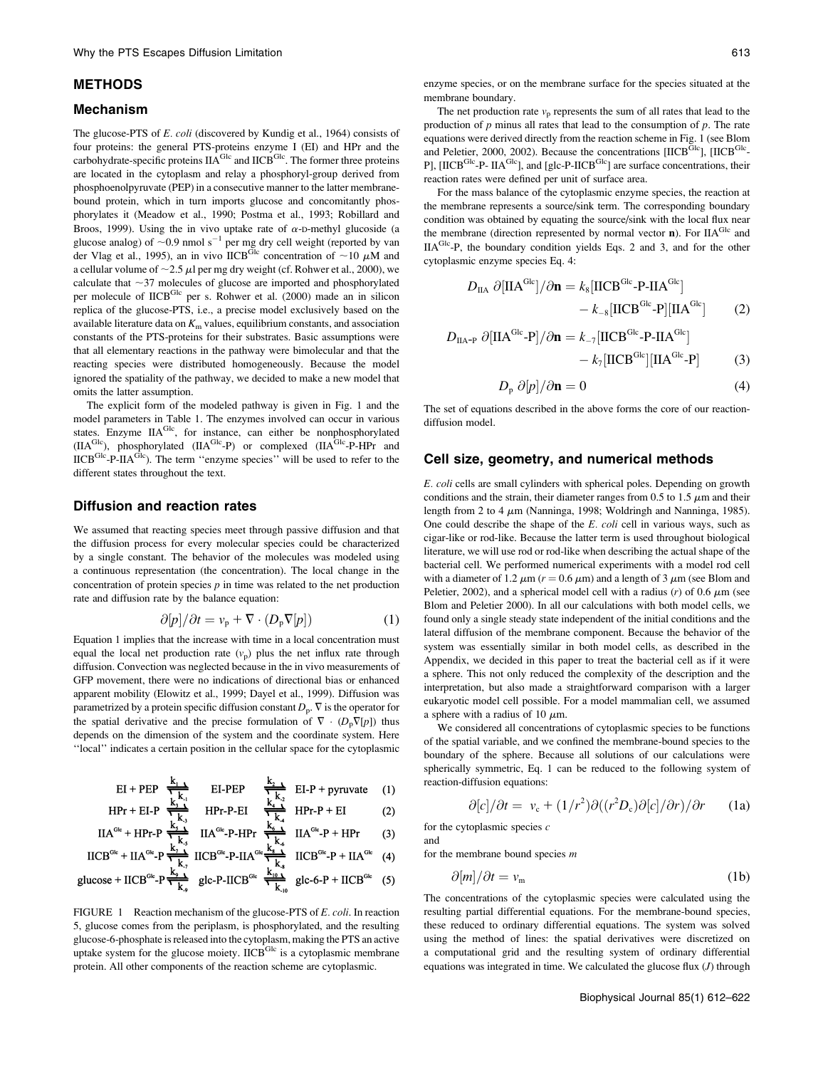#### METHODS

#### Mechanism

The glucose-PTS of E. coli (discovered by Kundig et al., 1964) consists of four proteins: the general PTS-proteins enzyme I (EI) and HPr and the carbohydrate-specific proteins  $IIA<sup>Glc</sup>$  and  $IICB<sup>Glc</sup>$ . The former three proteins are located in the cytoplasm and relay a phosphoryl-group derived from phosphoenolpyruvate (PEP) in a consecutive manner to the latter membranebound protein, which in turn imports glucose and concomitantly phosphorylates it (Meadow et al., 1990; Postma et al., 1993; Robillard and Broos, 1999). Using the in vivo uptake rate of  $\alpha$ -p-methyl glucoside (a glucose analog) of  $\sim 0.9$  nmol s<sup>-1</sup> per mg dry cell weight (reported by van der Vlag et al., 1995), an in vivo IICB<sup>Glc</sup> concentration of  $\sim$ 10  $\mu$ M and a cellular volume of  $\sim$ 2.5  $\mu$ l per mg dry weight (cf. Rohwer et al., 2000), we calculate that  $\sim$ 37 molecules of glucose are imported and phosphorylated per molecule of IICB<sup>Glc</sup> per s. Rohwer et al. (2000) made an in silicon replica of the glucose-PTS, i.e., a precise model exclusively based on the available literature data on  $K<sub>m</sub>$  values, equilibrium constants, and association constants of the PTS-proteins for their substrates. Basic assumptions were that all elementary reactions in the pathway were bimolecular and that the reacting species were distributed homogeneously. Because the model ignored the spatiality of the pathway, we decided to make a new model that omits the latter assumption.

The explicit form of the modeled pathway is given in Fig. 1 and the model parameters in Table 1. The enzymes involved can occur in various states. Enzyme IIA<sup>Glc</sup>, for instance, can either be nonphosphorylated (IIAGlc), phosphorylated (IIAGlc-P) or complexed (IIAGlc-P-HPr and IICBGlc-P-IIAGlc). The term ''enzyme species'' will be used to refer to the different states throughout the text.

#### Diffusion and reaction rates

We assumed that reacting species meet through passive diffusion and that the diffusion process for every molecular species could be characterized by a single constant. The behavior of the molecules was modeled using a continuous representation (the concentration). The local change in the concentration of protein species  $p$  in time was related to the net production rate and diffusion rate by the balance equation:

$$
\partial [p] / \partial t = v_{\rm p} + \nabla \cdot (D_{\rm p} \nabla [p]) \tag{1}
$$

Equation 1 implies that the increase with time in a local concentration must equal the local net production rate  $(v_p)$  plus the net influx rate through diffusion. Convection was neglected because in the in vivo measurements of GFP movement, there were no indications of directional bias or enhanced apparent mobility (Elowitz et al., 1999; Dayel et al., 1999). Diffusion was parametrized by a protein specific diffusion constant  $D_p$ .  $\nabla$  is the operator for the spatial derivative and the precise formulation of  $\nabla \cdot (D_{p} \nabla [p])$  thus depends on the dimension of the system and the coordinate system. Here ''local'' indicates a certain position in the cellular space for the cytoplasmic

EI + PEP 
$$
\frac{k_1 \lambda}{k_2}
$$
 EI-PEP  $\frac{k_2 \lambda}{k_3}$  EI-P+pyruvate (1)  
\nHPr + EI-P  $\frac{k_1 \lambda}{k_3}$  HPr-P-EI  $\frac{k_1 \lambda}{k_4}$  HPr-P + EI (2)  
\nIIA<sup>Ge</sup> + HPr-P  $\frac{k_1 \lambda}{k_3}$  IIA<sup>Ge</sup>-P+HPr  $\frac{k_2 \lambda}{k_4}$  IIA<sup>Ge</sup>-P + HPr (3)  
\nIICB<sup>Ge</sup> + IIA<sup>Ge</sup>-P  $\frac{k_1 \lambda}{k_3}$  IICB<sup>Ge</sup>-P-IIA<sup>Ge</sup>  $\frac{k_1 \lambda}{k_4}$  IICB<sup>Ge</sup>-P + IIA<sup>Ge</sup> (4)  
\nglucose + IICB<sup>Ge</sup>-P  $\frac{k_2 \lambda}{k_3}$  glc-P-ICB<sup>Ge</sup>  $\frac{k_{10 \lambda}}{k_{10}}$  glc-6-P + IICB<sup>Ge</sup> (5)

FIGURE 1 Reaction mechanism of the glucose-PTS of E. coli. In reaction 5, glucose comes from the periplasm, is phosphorylated, and the resulting glucose-6-phosphate is released into the cytoplasm, making the PTS an active uptake system for the glucose moiety.  $\text{ICB}^{\text{Glc}}$  is a cytoplasmic membrane protein. All other components of the reaction scheme are cytoplasmic.

enzyme species, or on the membrane surface for the species situated at the membrane boundary.

The net production rate  $v_p$  represents the sum of all rates that lead to the production of  $p$  minus all rates that lead to the consumption of  $p$ . The rate equations were derived directly from the reaction scheme in Fig. 1 (see Blom and Peletier, 2000, 2002). Because the concentrations [IICB<sup>Glc</sup>], [IICB<sup>Glc</sup>-P], [IICB<sup>Glc</sup>-P- IIA<sup>Glc</sup>], and [glc-P-IICB<sup>Glc</sup>] are surface concentrations, their reaction rates were defined per unit of surface area.

For the mass balance of the cytoplasmic enzyme species, the reaction at the membrane represents a source/sink term. The corresponding boundary condition was obtained by equating the source/sink with the local flux near the membrane (direction represented by normal vector  $\mathbf{n}$ ). For IIA<sup>Glc</sup> and IIA<sup>Glc</sup>-P, the boundary condition yields Eqs. 2 and 3, and for the other cytoplasmic enzyme species Eq. 4:

$$
D_{\text{IIA}} \partial[\text{IIA}^{\text{Glc}}]/\partial \mathbf{n} = k_8[\text{IICB}^{\text{Glc}} \text{-}P \text{-} \text{IIA}^{\text{Glc}}] \\
- k_{-8}[\text{IICB}^{\text{Glc}} \text{-}P][\text{IIA}^{\text{Glc}}] \tag{2}
$$

$$
D_{\text{IIA-P}} \partial[\text{IIA}^{\text{Glc}} - \text{P}]/\partial \mathbf{n} = k_{-7}[\text{IICB}^{\text{Glc}} - \text{P-IIA}^{\text{Glc}}] - k_{7}[\text{IICB}^{\text{Glc}}][\text{IIA}^{\text{Glc}} - \text{P}]
$$
(3)

$$
D_{\rm p} \partial [p] / \partial {\bf n} = 0 \tag{4}
$$

The set of equations described in the above forms the core of our reactiondiffusion model.

#### Cell size, geometry, and numerical methods

E. coli cells are small cylinders with spherical poles. Depending on growth conditions and the strain, their diameter ranges from 0.5 to 1.5  $\mu$ m and their length from 2 to 4  $\mu$ m (Nanninga, 1998; Woldringh and Nanninga, 1985). One could describe the shape of the E. coli cell in various ways, such as cigar-like or rod-like. Because the latter term is used throughout biological literature, we will use rod or rod-like when describing the actual shape of the bacterial cell. We performed numerical experiments with a model rod cell with a diameter of 1.2  $\mu$ m ( $r = 0.6 \mu$ m) and a length of 3  $\mu$ m (see Blom and Peletier, 2002), and a spherical model cell with a radius (r) of 0.6  $\mu$ m (see Blom and Peletier 2000). In all our calculations with both model cells, we found only a single steady state independent of the initial conditions and the lateral diffusion of the membrane component. Because the behavior of the system was essentially similar in both model cells, as described in the Appendix, we decided in this paper to treat the bacterial cell as if it were a sphere. This not only reduced the complexity of the description and the interpretation, but also made a straightforward comparison with a larger eukaryotic model cell possible. For a model mammalian cell, we assumed a sphere with a radius of 10  $\mu$ m.

We considered all concentrations of cytoplasmic species to be functions of the spatial variable, and we confined the membrane-bound species to the boundary of the sphere. Because all solutions of our calculations were spherically symmetric, Eq. 1 can be reduced to the following system of reaction-diffusion equations:

$$
\partial[c]/\partial t = v_{c} + (1/r^{2})\partial((r^{2}D_{c})\partial[c]/\partial r)/\partial r
$$
 (1a)

for the cytoplasmic species  $c$ 

and

for the membrane bound species  $m$ 

$$
\partial[m]/\partial t = v_{\rm m} \tag{1b}
$$

The concentrations of the cytoplasmic species were calculated using the resulting partial differential equations. For the membrane-bound species, these reduced to ordinary differential equations. The system was solved using the method of lines: the spatial derivatives were discretized on a computational grid and the resulting system of ordinary differential equations was integrated in time. We calculated the glucose flux  $(J)$  through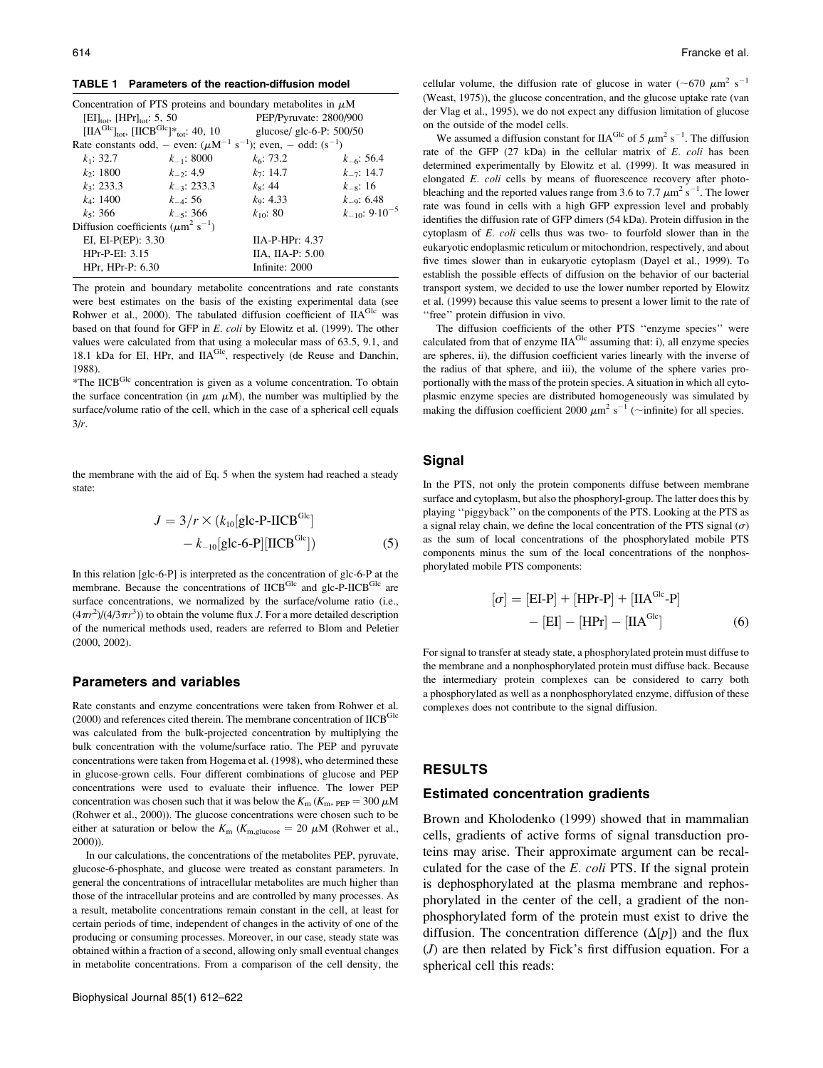TABLE 1 Parameters of the reaction-diffusion model

|                                                                                                 | Concentration of PTS proteins and boundary metabolites in $\mu$ M           |                            |                                |  |  |  |
|-------------------------------------------------------------------------------------------------|-----------------------------------------------------------------------------|----------------------------|--------------------------------|--|--|--|
| $[EI]_{\text{tot}}$ , $[HPr]_{\text{tot}}$ : 5, 50                                              |                                                                             | PEP/Pyruvate: 2800/900     |                                |  |  |  |
| $[\text{IIA}^{\text{Glc}}]_{\text{tot}}$ , $[\text{IICB}^{\text{Glc}}]_{\text{tot}}^*$ ; 40, 10 |                                                                             | glucose/ glc-6-P: $500/50$ |                                |  |  |  |
|                                                                                                 | Rate constants odd, – even: $(\mu M^{-1} s^{-1})$ ; even, – odd: $(s^{-1})$ |                            |                                |  |  |  |
| $k_1$ : 32.7                                                                                    | $k_{-1}$ : 8000                                                             | k <sub>6</sub> : 73.2      | $k_{-6}$ : 56.4                |  |  |  |
| $k_2$ : 1800                                                                                    | $k_{-2}$ : 4.9                                                              | $k_7$ : 14.7               | $k_{-7}$ : 14.7                |  |  |  |
| $k_3$ : 233.3                                                                                   | $k_{-3}$ : 233.3                                                            | $k_8$ : 44                 | $k_{-8}$ : 16                  |  |  |  |
| $k_4$ : 1400                                                                                    | $k_{-4}$ : 56                                                               | $k_0$ : 4.33               | $k_{-9}$ : 6.48                |  |  |  |
| $k_5$ : 366                                                                                     | $k_{-5}$ : 366                                                              | $k_{10}$ : 80              | $k_{-10}$ : 9.10 <sup>-5</sup> |  |  |  |
| Diffusion coefficients ( $\mu$ m <sup>2</sup> s <sup>-1</sup> )                                 |                                                                             |                            |                                |  |  |  |
| EI, EI-P(EP): $3.30$                                                                            |                                                                             |                            | $IIA-P-HPr: 4.37$              |  |  |  |
| HPr-P-EI: 3.15                                                                                  |                                                                             | IIA, IIA-P: 5.00           |                                |  |  |  |
| HPr, HPr-P: 6.30                                                                                |                                                                             | Infinite: 2000             |                                |  |  |  |

The protein and boundary metabolite concentrations and rate constants were best estimates on the basis of the existing experimental data (see Rohwer et al., 2000). The tabulated diffusion coefficient of  $IIA<sup>Glc</sup>$  was based on that found for GFP in E. coli by Elowitz et al. (1999). The other values were calculated from that using a molecular mass of 63.5, 9.1, and 18.1 kDa for EI, HPr, and IIA<sup>Glc</sup>, respectively (de Reuse and Danchin, 1988).

\*The IICBGlc concentration is given as a volume concentration. To obtain the surface concentration (in  $\mu$ m  $\mu$ M), the number was multiplied by the surface/volume ratio of the cell, which in the case of a spherical cell equals 3/r.

the membrane with the aid of Eq. 5 when the system had reached a steady state:

$$
J = 3/r \times (k_{10}[\text{glc-P-ICB}^{\text{Glc}})]
$$

$$
- k_{-10}[\text{glc-6-P}][\text{IICB}^{\text{Glc}}])
$$
(5)

In this relation [glc-6-P] is interpreted as the concentration of glc-6-P at the membrane. Because the concentrations of IICB<sup>Glc</sup> and glc-P-IICB<sup>Glc</sup> are surface concentrations, we normalized by the surface/volume ratio (i.e.,  $(4\pi r^2)/(4/3\pi r^3)$ ) to obtain the volume flux *J*. For a more detailed description of the numerical methods used, readers are referred to Blom and Peletier (2000, 2002).

#### Parameters and variables

Rate constants and enzyme concentrations were taken from Rohwer et al.  $(2000)$  and references cited therein. The membrane concentration of IICB<sup>Glc</sup> was calculated from the bulk-projected concentration by multiplying the bulk concentration with the volume/surface ratio. The PEP and pyruvate concentrations were taken from Hogema et al. (1998), who determined these in glucose-grown cells. Four different combinations of glucose and PEP concentrations were used to evaluate their influence. The lower PEP concentration was chosen such that it was below the  $K_{\text{m}}$  ( $K_{\text{m}}$ ,  $_{\text{PEP}} = 300 \mu \text{M}$ ) (Rohwer et al., 2000)). The glucose concentrations were chosen such to be either at saturation or below the  $K_{\rm m}$  ( $K_{\rm m,glucose} = 20 \mu M$  (Rohwer et al., 2000)).

In our calculations, the concentrations of the metabolites PEP, pyruvate, glucose-6-phosphate, and glucose were treated as constant parameters. In general the concentrations of intracellular metabolites are much higher than those of the intracellular proteins and are controlled by many processes. As a result, metabolite concentrations remain constant in the cell, at least for certain periods of time, independent of changes in the activity of one of the producing or consuming processes. Moreover, in our case, steady state was obtained within a fraction of a second, allowing only small eventual changes in metabolite concentrations. From a comparison of the cell density, the

cellular volume, the diffusion rate of glucose in water ( $\sim$ 670  $\mu$ m<sup>2</sup> s<sup>-1</sup> (Weast, 1975)), the glucose concentration, and the glucose uptake rate (van der Vlag et al., 1995), we do not expect any diffusion limitation of glucose on the outside of the model cells.

We assumed a diffusion constant for IIA<sup>Glc</sup> of 5  $\mu$ m<sup>2</sup> s<sup>-1</sup>. The diffusion rate of the GFP (27 kDa) in the cellular matrix of E. coli has been determined experimentally by Elowitz et al. (1999). It was measured in elongated E. coli cells by means of fluorescence recovery after photobleaching and the reported values range from 3.6 to 7.7  $\mu$ m<sup>2</sup> s<sup>-1</sup>. The lower rate was found in cells with a high GFP expression level and probably identifies the diffusion rate of GFP dimers (54 kDa). Protein diffusion in the cytoplasm of E. coli cells thus was two- to fourfold slower than in the eukaryotic endoplasmic reticulum or mitochondrion, respectively, and about five times slower than in eukaryotic cytoplasm (Dayel et al., 1999). To establish the possible effects of diffusion on the behavior of our bacterial transport system, we decided to use the lower number reported by Elowitz et al. (1999) because this value seems to present a lower limit to the rate of ''free'' protein diffusion in vivo.

The diffusion coefficients of the other PTS ''enzyme species'' were calculated from that of enzyme IIA<sup>Glc</sup> assuming that: i), all enzyme species are spheres, ii), the diffusion coefficient varies linearly with the inverse of the radius of that sphere, and iii), the volume of the sphere varies proportionally with the mass of the protein species. A situation in which all cytoplasmic enzyme species are distributed homogeneously was simulated by making the diffusion coefficient 2000  $\mu$ m<sup>2</sup> s<sup>-1</sup> (~infinite) for all species.

#### **Signal**

In the PTS, not only the protein components diffuse between membrane surface and cytoplasm, but also the phosphoryl-group. The latter does this by playing ''piggyback'' on the components of the PTS. Looking at the PTS as a signal relay chain, we define the local concentration of the PTS signal  $(\sigma)$ as the sum of local concentrations of the phosphorylated mobile PTS components minus the sum of the local concentrations of the nonphosphorylated mobile PTS components:

$$
[\sigma] = [\text{EI-P}] + [\text{HPr-P}] + [\text{IIA}^{\text{Glc}} - \text{P}]
$$

$$
- [\text{EI}] - [\text{HPr}] - [\text{IIA}^{\text{Glc}}] \tag{6}
$$

For signal to transfer at steady state, a phosphorylated protein must diffuse to the membrane and a nonphosphorylated protein must diffuse back. Because the intermediary protein complexes can be considered to carry both a phosphorylated as well as a nonphosphorylated enzyme, diffusion of these complexes does not contribute to the signal diffusion.

### RESULTS

#### Estimated concentration gradients

Brown and Kholodenko (1999) showed that in mammalian cells, gradients of active forms of signal transduction proteins may arise. Their approximate argument can be recalculated for the case of the  $E.$  coli PTS. If the signal protein is dephosphorylated at the plasma membrane and rephosphorylated in the center of the cell, a gradient of the nonphosphorylated form of the protein must exist to drive the diffusion. The concentration difference  $(\Delta[p])$  and the flux  $(J)$  are then related by Fick's first diffusion equation. For a spherical cell this reads: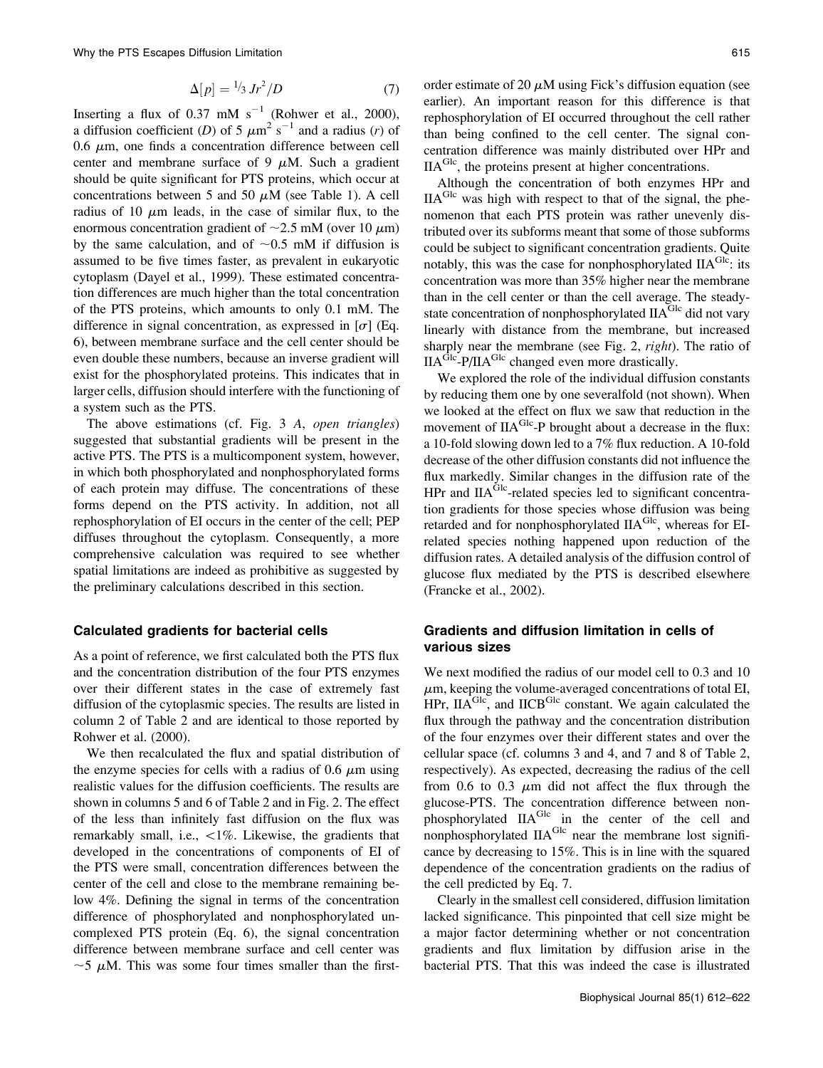$$
\Delta[p] = \frac{1}{3} J r^2 / D \tag{7}
$$

Inserting a flux of 0.37 mM  $s^{-1}$  (Rohwer et al., 2000), a diffusion coefficient (D) of 5  $\mu$ m<sup>2</sup> s<sup>-1</sup> and a radius (r) of  $0.6 \mu$ m, one finds a concentration difference between cell center and membrane surface of 9  $\mu$ M. Such a gradient should be quite significant for PTS proteins, which occur at concentrations between 5 and 50  $\mu$ M (see Table 1). A cell radius of 10  $\mu$ m leads, in the case of similar flux, to the enormous concentration gradient of  $\sim$ 2.5 mM (over 10  $\mu$ m) by the same calculation, and of  $\sim 0.5$  mM if diffusion is assumed to be five times faster, as prevalent in eukaryotic cytoplasm (Dayel et al., 1999). These estimated concentration differences are much higher than the total concentration of the PTS proteins, which amounts to only 0.1 mM. The difference in signal concentration, as expressed in  $[\sigma]$  (Eq. 6), between membrane surface and the cell center should be even double these numbers, because an inverse gradient will exist for the phosphorylated proteins. This indicates that in larger cells, diffusion should interfere with the functioning of a system such as the PTS.

The above estimations (cf. Fig. 3 A, open triangles) suggested that substantial gradients will be present in the active PTS. The PTS is a multicomponent system, however, in which both phosphorylated and nonphosphorylated forms of each protein may diffuse. The concentrations of these forms depend on the PTS activity. In addition, not all rephosphorylation of EI occurs in the center of the cell; PEP diffuses throughout the cytoplasm. Consequently, a more comprehensive calculation was required to see whether spatial limitations are indeed as prohibitive as suggested by the preliminary calculations described in this section.

#### Calculated gradients for bacterial cells

As a point of reference, we first calculated both the PTS flux and the concentration distribution of the four PTS enzymes over their different states in the case of extremely fast diffusion of the cytoplasmic species. The results are listed in column 2 of Table 2 and are identical to those reported by Rohwer et al. (2000).

We then recalculated the flux and spatial distribution of the enzyme species for cells with a radius of 0.6  $\mu$ m using realistic values for the diffusion coefficients. The results are shown in columns 5 and 6 of Table 2 and in Fig. 2. The effect of the less than infinitely fast diffusion on the flux was remarkably small, i.e., \1%. Likewise, the gradients that developed in the concentrations of components of EI of the PTS were small, concentration differences between the center of the cell and close to the membrane remaining below 4%. Defining the signal in terms of the concentration difference of phosphorylated and nonphosphorylated uncomplexed PTS protein (Eq. 6), the signal concentration difference between membrane surface and cell center was  $\sim$  5  $\mu$ M. This was some four times smaller than the first-

order estimate of 20  $\mu$ M using Fick's diffusion equation (see earlier). An important reason for this difference is that rephosphorylation of EI occurred throughout the cell rather than being confined to the cell center. The signal concentration difference was mainly distributed over HPr and IIAGlc, the proteins present at higher concentrations.

Although the concentration of both enzymes HPr and  $IIA<sup>Glc</sup>$  was high with respect to that of the signal, the phenomenon that each PTS protein was rather unevenly distributed over its subforms meant that some of those subforms could be subject to significant concentration gradients. Quite notably, this was the case for nonphosphorylated  $\text{IIA}^{\text{Glc}}$ : its concentration was more than 35% higher near the membrane than in the cell center or than the cell average. The steadystate concentration of nonphosphorylated IIA<sup>Glc</sup> did not vary linearly with distance from the membrane, but increased sharply near the membrane (see Fig. 2, right). The ratio of IIAGlc-P/IIAGlc changed even more drastically.

We explored the role of the individual diffusion constants by reducing them one by one severalfold (not shown). When we looked at the effect on flux we saw that reduction in the movement of IIA<sup>Glc</sup>-P brought about a decrease in the flux: a 10-fold slowing down led to a 7% flux reduction. A 10-fold decrease of the other diffusion constants did not influence the flux markedly. Similar changes in the diffusion rate of the HPr and IIA<sup>Glc</sup>-related species led to significant concentration gradients for those species whose diffusion was being retarded and for nonphosphorylated  $IIA<sup>Glc</sup>$ , whereas for EIrelated species nothing happened upon reduction of the diffusion rates. A detailed analysis of the diffusion control of glucose flux mediated by the PTS is described elsewhere (Francke et al., 2002).

## Gradients and diffusion limitation in cells of various sizes

We next modified the radius of our model cell to 0.3 and 10  $\mu$ m, keeping the volume-averaged concentrations of total EI, HPr, IIA<sup>Glc</sup>, and IICB<sup>Glc</sup> constant. We again calculated the flux through the pathway and the concentration distribution of the four enzymes over their different states and over the cellular space (cf. columns 3 and 4, and 7 and 8 of Table 2, respectively). As expected, decreasing the radius of the cell from 0.6 to 0.3  $\mu$ m did not affect the flux through the glucose-PTS. The concentration difference between nonphosphorylated IIA<sup>Glc</sup> in the center of the cell and nonphosphorylated IIA<sup>Glc</sup> near the membrane lost significance by decreasing to 15%. This is in line with the squared dependence of the concentration gradients on the radius of the cell predicted by Eq. 7.

Clearly in the smallest cell considered, diffusion limitation lacked significance. This pinpointed that cell size might be a major factor determining whether or not concentration gradients and flux limitation by diffusion arise in the bacterial PTS. That this was indeed the case is illustrated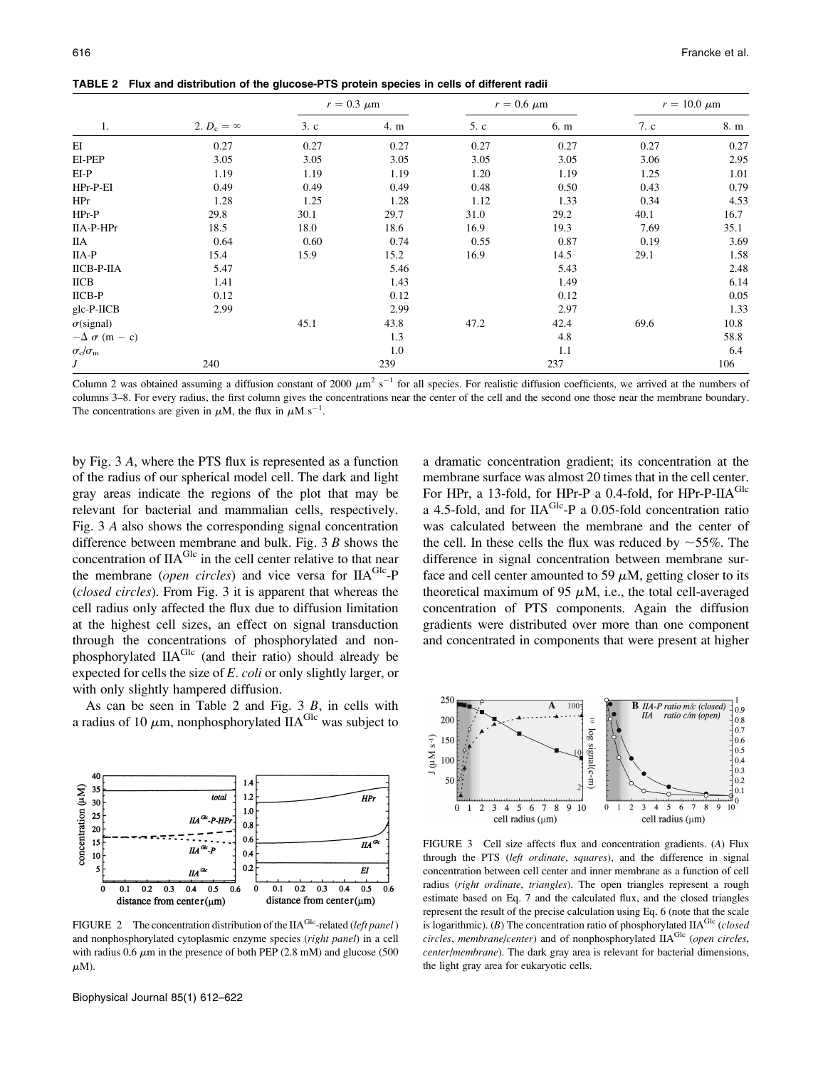| 1.                              | 2. $D_c = \infty$ | $r = 0.3 \mu m$ |      | $r = 0.6 \mu m$ |      | $r = 10.0 \mu m$ |      |
|---------------------------------|-------------------|-----------------|------|-----------------|------|------------------|------|
|                                 |                   | 3.c             | 4. m | 5. c            | 6. m | 7. c             | 8. m |
| EI                              | 0.27              | 0.27            | 0.27 | 0.27            | 0.27 | 0.27             | 0.27 |
| EI-PEP                          | 3.05              | 3.05            | 3.05 | 3.05            | 3.05 | 3.06             | 2.95 |
| $EI-P$                          | 1.19              | 1.19            | 1.19 | 1.20            | 1.19 | 1.25             | 1.01 |
| $HPr-P-EI$                      | 0.49              | 0.49            | 0.49 | 0.48            | 0.50 | 0.43             | 0.79 |
| HPr                             | 1.28              | 1.25            | 1.28 | 1.12            | 1.33 | 0.34             | 4.53 |
| $HPr-P$                         | 29.8              | 30.1            | 29.7 | 31.0            | 29.2 | 40.1             | 16.7 |
| IIA-P-HPr                       | 18.5              | 18.0            | 18.6 | 16.9            | 19.3 | 7.69             | 35.1 |
| ПA                              | 0.64              | 0.60            | 0.74 | 0.55            | 0.87 | 0.19             | 3.69 |
| $IIA-P$                         | 15.4              | 15.9            | 15.2 | 16.9            | 14.5 | 29.1             | 1.58 |
| IICB-P-IIA                      | 5.47              |                 | 5.46 |                 | 5.43 |                  | 2.48 |
| <b>IICB</b>                     | 1.41              |                 | 1.43 |                 | 1.49 |                  | 6.14 |
| $IICB-P$                        | 0.12              |                 | 0.12 |                 | 0.12 |                  | 0.05 |
| glc-P-IICB                      | 2.99              |                 | 2.99 |                 | 2.97 |                  | 1.33 |
| $\sigma$ (signal)               |                   | 45.1            | 43.8 | 47.2            | 42.4 | 69.6             | 10.8 |
| $-\Delta \sigma$ (m – c)        |                   |                 | 1.3  |                 | 4.8  |                  | 58.8 |
| $\sigma_{\rm c}/\sigma_{\rm m}$ |                   |                 | 1.0  |                 | 1.1  |                  | 6.4  |
| J                               | 240               |                 | 239  |                 | 237  |                  | 106  |

TABLE 2 Flux and distribution of the glucose-PTS protein species in cells of different radii

Column 2 was obtained assuming a diffusion constant of 2000  $\mu$ m<sup>2</sup> s<sup>-1</sup> for all species. For realistic diffusion coefficients, we arrived at the numbers of columns 3–8. For every radius, the first column gives the concentrations near the center of the cell and the second one those near the membrane boundary. The concentrations are given in  $\mu$ M, the flux in  $\mu$ M s<sup>-1</sup>.

by Fig. 3 A, where the PTS flux is represented as a function of the radius of our spherical model cell. The dark and light gray areas indicate the regions of the plot that may be relevant for bacterial and mammalian cells, respectively. Fig. 3 A also shows the corresponding signal concentration difference between membrane and bulk. Fig. 3 B shows the concentration of IIA<sup>Glc</sup> in the cell center relative to that near the membrane (open circles) and vice versa for  $IIA^{Glc}$ -P (closed circles). From Fig. 3 it is apparent that whereas the cell radius only affected the flux due to diffusion limitation at the highest cell sizes, an effect on signal transduction through the concentrations of phosphorylated and nonphosphorylated IIA<sup>Glc</sup> (and their ratio) should already be expected for cells the size of E. coli or only slightly larger, or with only slightly hampered diffusion.

As can be seen in Table 2 and Fig.  $3 B$ , in cells with a radius of 10  $\mu$ m, nonphosphorylated IIA<sup>Glc</sup> was subject to



FIGURE 2 The concentration distribution of the IIA<sup>Glc</sup>-related (left panel) and nonphosphorylated cytoplasmic enzyme species (right panel) in a cell with radius  $0.6 \mu m$  in the presence of both PEP (2.8 mM) and glucose (500  $\mu$ M).

Biophysical Journal 85(1) 612–622

a dramatic concentration gradient; its concentration at the membrane surface was almost 20 times that in the cell center. For HPr, a 13-fold, for HPr-P a 0.4-fold, for HPr-P-IIA<sup>Glc</sup> a 4.5-fold, and for  $\text{IIA}^{\text{Glc}}$ -P a 0.05-fold concentration ratio was calculated between the membrane and the center of the cell. In these cells the flux was reduced by  $\sim$  55%. The difference in signal concentration between membrane surface and cell center amounted to 59  $\mu$ M, getting closer to its theoretical maximum of 95  $\mu$ M, i.e., the total cell-averaged concentration of PTS components. Again the diffusion gradients were distributed over more than one component and concentrated in components that were present at higher



FIGURE 3 Cell size affects flux and concentration gradients. (A) Flux through the PTS (left ordinate, squares), and the difference in signal concentration between cell center and inner membrane as a function of cell radius (right ordinate, triangles). The open triangles represent a rough estimate based on Eq. 7 and the calculated flux, and the closed triangles represent the result of the precise calculation using Eq. 6 (note that the scale is logarithmic). (B) The concentration ratio of phosphorylated  $IIA<sup>Glc</sup>$  (closed circles, membrane/center) and of nonphosphorylated IIA<sup>Glc</sup> (open circles, center/membrane). The dark gray area is relevant for bacterial dimensions, the light gray area for eukaryotic cells.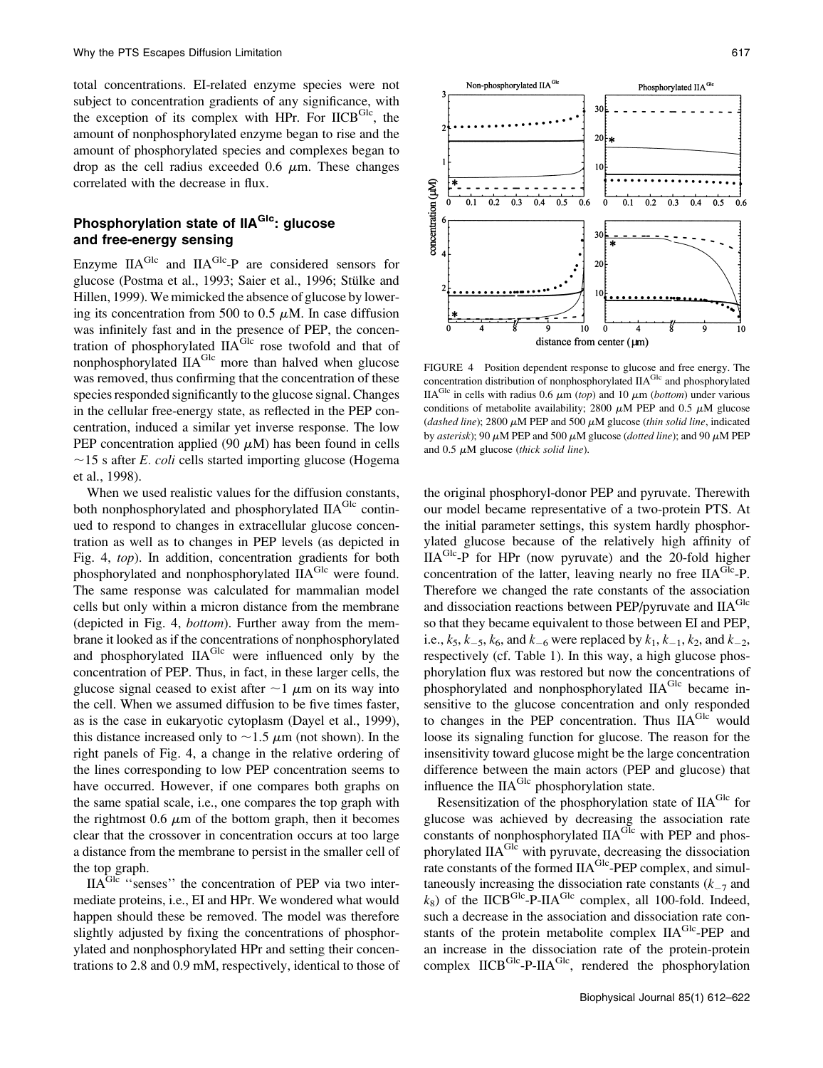total concentrations. EI-related enzyme species were not subject to concentration gradients of any significance, with the exception of its complex with HPr. For  $ICB<sup>Glc</sup>$ , the amount of nonphosphorylated enzyme began to rise and the amount of phosphorylated species and complexes began to drop as the cell radius exceeded 0.6  $\mu$ m. These changes correlated with the decrease in flux.

# Phosphorylation state of IIA<sup>GIc</sup>: glucose and free-energy sensing

Enzyme IIA<sup>Glc</sup> and IIA<sup>Glc</sup>-P are considered sensors for glucose (Postma et al., 1993; Saier et al., 1996; Stülke and Hillen, 1999). We mimicked the absence of glucose by lowering its concentration from 500 to 0.5  $\mu$ M. In case diffusion was infinitely fast and in the presence of PEP, the concentration of phosphorylated IIA<sup>Glc</sup> rose twofold and that of nonphosphorylated IIA<sup>Glc</sup> more than halved when glucose was removed, thus confirming that the concentration of these species responded significantly to the glucose signal. Changes in the cellular free-energy state, as reflected in the PEP concentration, induced a similar yet inverse response. The low PEP concentration applied (90  $\mu$ M) has been found in cells  $\sim$ 15 s after *E. coli* cells started importing glucose (Hogema et al., 1998).

When we used realistic values for the diffusion constants, both nonphosphorylated and phosphorylated  $\text{IIA}^{\text{Glc}}$  continued to respond to changes in extracellular glucose concentration as well as to changes in PEP levels (as depicted in Fig. 4, top). In addition, concentration gradients for both phosphorylated and nonphosphorylated IIA<sup>Glc</sup> were found. The same response was calculated for mammalian model cells but only within a micron distance from the membrane (depicted in Fig. 4, bottom). Further away from the membrane it looked as if the concentrations of nonphosphorylated and phosphorylated  $IIA<sup>Glc</sup>$  were influenced only by the concentration of PEP. Thus, in fact, in these larger cells, the glucose signal ceased to exist after  $\sim$  1  $\mu$ m on its way into the cell. When we assumed diffusion to be five times faster, as is the case in eukaryotic cytoplasm (Dayel et al., 1999), this distance increased only to  $\sim$ 1.5  $\mu$ m (not shown). In the right panels of Fig. 4, a change in the relative ordering of the lines corresponding to low PEP concentration seems to have occurred. However, if one compares both graphs on the same spatial scale, i.e., one compares the top graph with the rightmost 0.6  $\mu$ m of the bottom graph, then it becomes clear that the crossover in concentration occurs at too large a distance from the membrane to persist in the smaller cell of the top graph.

IIAGlc ''senses'' the concentration of PEP via two intermediate proteins, i.e., EI and HPr. We wondered what would happen should these be removed. The model was therefore slightly adjusted by fixing the concentrations of phosphorylated and nonphosphorylated HPr and setting their concentrations to 2.8 and 0.9 mM, respectively, identical to those of



FIGURE 4 Position dependent response to glucose and free energy. The concentration distribution of nonphosphorylated IIA<sup>Glc</sup> and phosphorylated IIA<sup>Glc</sup> in cells with radius 0.6  $\mu$ m (top) and 10  $\mu$ m (bottom) under various conditions of metabolite availability; 2800  $\mu$ M PEP and 0.5  $\mu$ M glucose (dashed line); 2800  $\mu$ M PEP and 500  $\mu$ M glucose (thin solid line, indicated by asterisk); 90  $\mu$ M PEP and 500  $\mu$ M glucose (dotted line); and 90  $\mu$ M PEP and 0.5  $\mu$ M glucose (thick solid line).

the original phosphoryl-donor PEP and pyruvate. Therewith our model became representative of a two-protein PTS. At the initial parameter settings, this system hardly phosphorylated glucose because of the relatively high affinity of  $IIA<sup>Glc</sup>$ -P for HPr (now pyruvate) and the 20-fold higher concentration of the latter, leaving nearly no free IIA<sup>Glc</sup>-P. Therefore we changed the rate constants of the association and dissociation reactions between PEP/pyruvate and IIA<sup>Glc</sup> so that they became equivalent to those between EI and PEP, i.e.,  $k_5$ ,  $k_{-5}$ ,  $k_6$ , and  $k_{-6}$  were replaced by  $k_1$ ,  $k_{-1}$ ,  $k_2$ , and  $k_{-2}$ , respectively (cf. Table 1). In this way, a high glucose phosphorylation flux was restored but now the concentrations of phosphorylated and nonphosphorylated IIA<sup>Glc</sup> became insensitive to the glucose concentration and only responded to changes in the PEP concentration. Thus IIA<sup>Glc</sup> would loose its signaling function for glucose. The reason for the insensitivity toward glucose might be the large concentration difference between the main actors (PEP and glucose) that influence the  $\text{IIA}^{\text{Glc}}$  phosphorylation state.

Resensitization of the phosphorylation state of  $IIA<sup>Glc</sup>$  for glucose was achieved by decreasing the association rate constants of nonphosphorylated  $IIA^{G\bar{I}c}$  with PEP and phosphorylated IIA<sup>Glc</sup> with pyruvate, decreasing the dissociation rate constants of the formed IIA<sup>Glc</sup>-PEP complex, and simultaneously increasing the dissociation rate constants  $(k<sub>-7</sub>$  and  $k_8$ ) of the IICB<sup>Glc</sup>-P-IIA<sup>Glc</sup> complex, all 100-fold. Indeed, such a decrease in the association and dissociation rate constants of the protein metabolite complex IIA<sup>Glc</sup>-PEP and an increase in the dissociation rate of the protein-protein complex  $\text{IICB}^{\text{Glc}}$ -P-IIA<sup>Glc</sup>, rendered the phosphorylation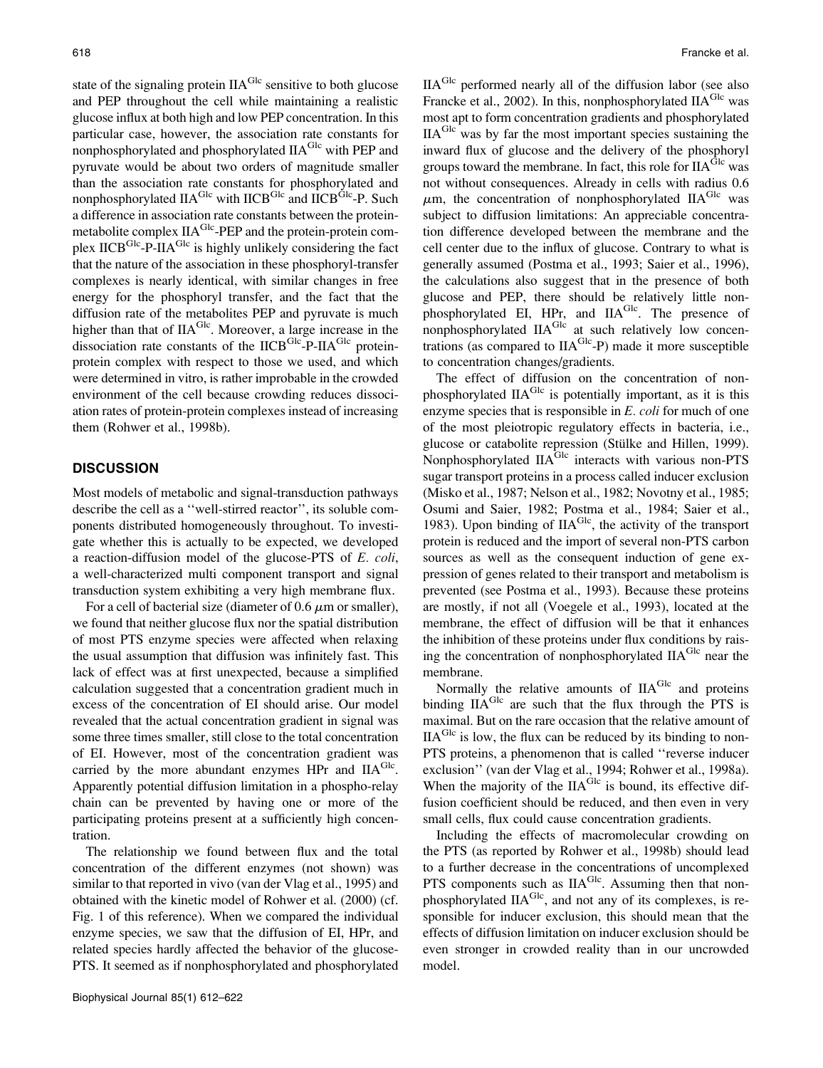state of the signaling protein IIA<sup>Glc</sup> sensitive to both glucose and PEP throughout the cell while maintaining a realistic glucose influx at both high and low PEP concentration. In this particular case, however, the association rate constants for nonphosphorylated and phosphorylated IIA<sup>Glc</sup> with PEP and pyruvate would be about two orders of magnitude smaller than the association rate constants for phosphorylated and nonphosphorylated IIA<sup>Glc</sup> with IICB<sup>Glc</sup> and IICB<sup>Glc</sup>-P. Such a difference in association rate constants between the proteinmetabolite complex IIA<sup>Glc</sup>-PEP and the protein-protein complex IICB<sup>Glc</sup>-P-IIA<sup>Glc</sup> is highly unlikely considering the fact that the nature of the association in these phosphoryl-transfer complexes is nearly identical, with similar changes in free energy for the phosphoryl transfer, and the fact that the diffusion rate of the metabolites PEP and pyruvate is much higher than that of IIA<sup>Glc</sup>. Moreover, a large increase in the dissociation rate constants of the IICB<sup>Glc</sup>-P-IIA<sup>Glc</sup> proteinprotein complex with respect to those we used, and which were determined in vitro, is rather improbable in the crowded environment of the cell because crowding reduces dissociation rates of protein-protein complexes instead of increasing them (Rohwer et al., 1998b).

#### **DISCUSSION**

Most models of metabolic and signal-transduction pathways describe the cell as a ''well-stirred reactor'', its soluble components distributed homogeneously throughout. To investigate whether this is actually to be expected, we developed a reaction-diffusion model of the glucose-PTS of E. coli, a well-characterized multi component transport and signal transduction system exhibiting a very high membrane flux.

For a cell of bacterial size (diameter of  $0.6 \mu$ m or smaller), we found that neither glucose flux nor the spatial distribution of most PTS enzyme species were affected when relaxing the usual assumption that diffusion was infinitely fast. This lack of effect was at first unexpected, because a simplified calculation suggested that a concentration gradient much in excess of the concentration of EI should arise. Our model revealed that the actual concentration gradient in signal was some three times smaller, still close to the total concentration of EI. However, most of the concentration gradient was carried by the more abundant enzymes HPr and  $IIA^{Glc}$ . Apparently potential diffusion limitation in a phospho-relay chain can be prevented by having one or more of the participating proteins present at a sufficiently high concentration.

The relationship we found between flux and the total concentration of the different enzymes (not shown) was similar to that reported in vivo (van der Vlag et al., 1995) and obtained with the kinetic model of Rohwer et al. (2000) (cf. Fig. 1 of this reference). When we compared the individual enzyme species, we saw that the diffusion of EI, HPr, and related species hardly affected the behavior of the glucose-PTS. It seemed as if nonphosphorylated and phosphorylated IIAGlc performed nearly all of the diffusion labor (see also Francke et al., 2002). In this, nonphosphorylated  $\text{IIA}^{\text{Glc}}$  was most apt to form concentration gradients and phosphorylated  $IIA<sup>Glc</sup>$  was by far the most important species sustaining the inward flux of glucose and the delivery of the phosphoryl groups toward the membrane. In fact, this role for  $IIA<sup>Glc</sup>$  was not without consequences. Already in cells with radius 0.6  $\mu$ m, the concentration of nonphosphorylated IIA<sup>Glc</sup> was subject to diffusion limitations: An appreciable concentration difference developed between the membrane and the cell center due to the influx of glucose. Contrary to what is generally assumed (Postma et al., 1993; Saier et al., 1996), the calculations also suggest that in the presence of both glucose and PEP, there should be relatively little nonphosphorylated EI, HPr, and IIA<sup>Glc</sup>. The presence of nonphosphorylated IIA<sup>Glc</sup> at such relatively low concentrations (as compared to  $\text{IIA}^{\text{Glc}}$ -P) made it more susceptible to concentration changes/gradients.

The effect of diffusion on the concentration of nonphosphorylated IIA<sup>Glc</sup> is potentially important, as it is this enzyme species that is responsible in  $E$ . *coli* for much of one of the most pleiotropic regulatory effects in bacteria, i.e., glucose or catabolite repression (Stülke and Hillen, 1999). Nonphosphorylated IIA<sup>GIc</sup> interacts with various non-PTS sugar transport proteins in a process called inducer exclusion (Misko et al., 1987; Nelson et al., 1982; Novotny et al., 1985; Osumi and Saier, 1982; Postma et al., 1984; Saier et al., 1983). Upon binding of IIA<sup>Glc</sup>, the activity of the transport protein is reduced and the import of several non-PTS carbon sources as well as the consequent induction of gene expression of genes related to their transport and metabolism is prevented (see Postma et al., 1993). Because these proteins are mostly, if not all (Voegele et al., 1993), located at the membrane, the effect of diffusion will be that it enhances the inhibition of these proteins under flux conditions by raising the concentration of nonphosphorylated IIA<sup>Glc</sup> near the membrane.

Normally the relative amounts of IIA<sup>Glc</sup> and proteins binding  $IIA<sup>Glc</sup>$  are such that the flux through the PTS is maximal. But on the rare occasion that the relative amount of  $IIA<sup>Glc</sup>$  is low, the flux can be reduced by its binding to non-PTS proteins, a phenomenon that is called ''reverse inducer exclusion'' (van der Vlag et al., 1994; Rohwer et al., 1998a). When the majority of the  $IIA^{Glc}$  is bound, its effective diffusion coefficient should be reduced, and then even in very small cells, flux could cause concentration gradients.

Including the effects of macromolecular crowding on the PTS (as reported by Rohwer et al., 1998b) should lead to a further decrease in the concentrations of uncomplexed PTS components such as IIA<sup>Glc</sup>. Assuming then that nonphosphorylated  $\text{IIA}^{\text{Glc}}$ , and not any of its complexes, is responsible for inducer exclusion, this should mean that the effects of diffusion limitation on inducer exclusion should be even stronger in crowded reality than in our uncrowded model.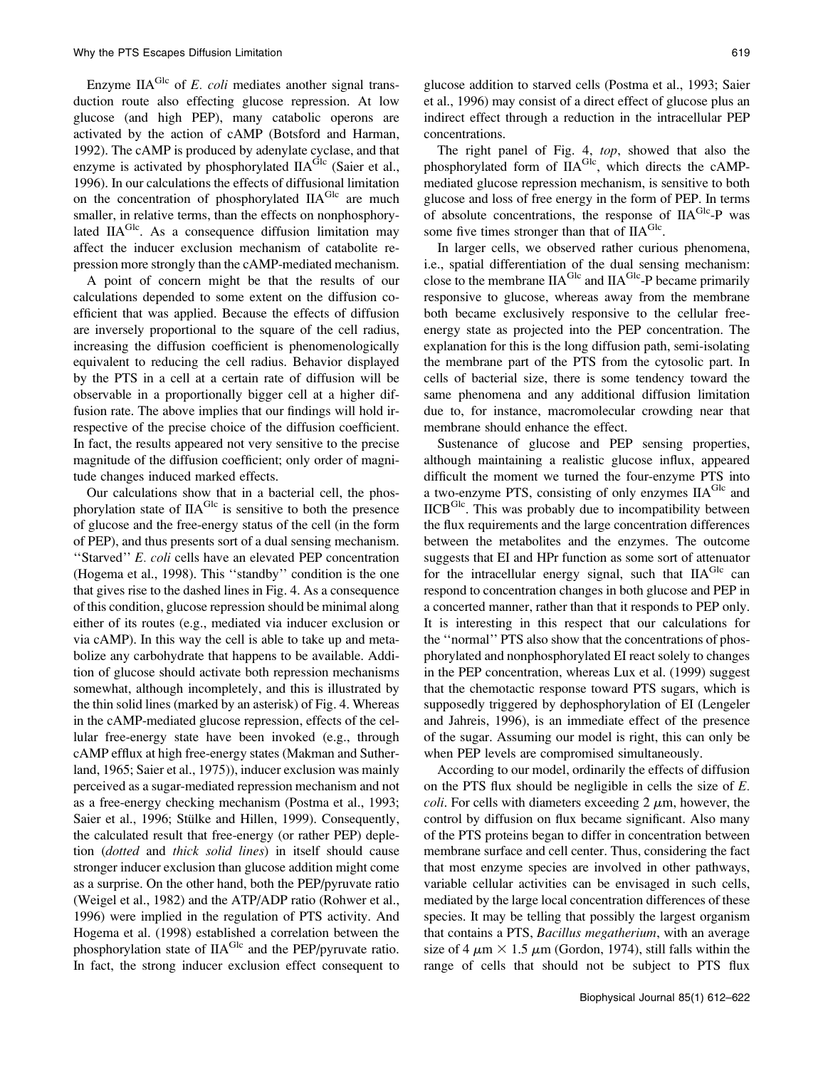Enzyme  $\text{IIA}^{\text{Glc}}$  of E. coli mediates another signal transduction route also effecting glucose repression. At low glucose (and high PEP), many catabolic operons are activated by the action of cAMP (Botsford and Harman, 1992). The cAMP is produced by adenylate cyclase, and that enzyme is activated by phosphorylated  $IIA<sup>Glc</sup>$  (Saier et al., 1996). In our calculations the effects of diffusional limitation on the concentration of phosphorylated IIA<sup>Glc</sup> are much smaller, in relative terms, than the effects on nonphosphorylated  $IIA<sup>Glc</sup>$ . As a consequence diffusion limitation may affect the inducer exclusion mechanism of catabolite repression more strongly than the cAMP-mediated mechanism.

A point of concern might be that the results of our calculations depended to some extent on the diffusion coefficient that was applied. Because the effects of diffusion are inversely proportional to the square of the cell radius, increasing the diffusion coefficient is phenomenologically equivalent to reducing the cell radius. Behavior displayed by the PTS in a cell at a certain rate of diffusion will be observable in a proportionally bigger cell at a higher diffusion rate. The above implies that our findings will hold irrespective of the precise choice of the diffusion coefficient. In fact, the results appeared not very sensitive to the precise magnitude of the diffusion coefficient; only order of magnitude changes induced marked effects.

Our calculations show that in a bacterial cell, the phosphorylation state of  $\text{IIA}^{\text{Glc}}$  is sensitive to both the presence of glucose and the free-energy status of the cell (in the form of PEP), and thus presents sort of a dual sensing mechanism. "Starved" E. coli cells have an elevated PEP concentration (Hogema et al., 1998). This ''standby'' condition is the one that gives rise to the dashed lines in Fig. 4. As a consequence of this condition, glucose repression should be minimal along either of its routes (e.g., mediated via inducer exclusion or via cAMP). In this way the cell is able to take up and metabolize any carbohydrate that happens to be available. Addition of glucose should activate both repression mechanisms somewhat, although incompletely, and this is illustrated by the thin solid lines (marked by an asterisk) of Fig. 4. Whereas in the cAMP-mediated glucose repression, effects of the cellular free-energy state have been invoked (e.g., through cAMP efflux at high free-energy states (Makman and Sutherland, 1965; Saier et al., 1975)), inducer exclusion was mainly perceived as a sugar-mediated repression mechanism and not as a free-energy checking mechanism (Postma et al., 1993; Saier et al., 1996; Stülke and Hillen, 1999). Consequently, the calculated result that free-energy (or rather PEP) depletion (dotted and thick solid lines) in itself should cause stronger inducer exclusion than glucose addition might come as a surprise. On the other hand, both the PEP/pyruvate ratio (Weigel et al., 1982) and the ATP/ADP ratio (Rohwer et al., 1996) were implied in the regulation of PTS activity. And Hogema et al. (1998) established a correlation between the phosphorylation state of  $IIA<sup>Glc</sup>$  and the PEP/pyruvate ratio. In fact, the strong inducer exclusion effect consequent to

glucose addition to starved cells (Postma et al., 1993; Saier et al., 1996) may consist of a direct effect of glucose plus an indirect effect through a reduction in the intracellular PEP concentrations.

The right panel of Fig. 4, top, showed that also the phosphorylated form of IIA<sup>Glc</sup>, which directs the cAMPmediated glucose repression mechanism, is sensitive to both glucose and loss of free energy in the form of PEP. In terms of absolute concentrations, the response of IIA<sup>Glc</sup>-P was some five times stronger than that of  $IIA<sup>Glc</sup>$ .

In larger cells, we observed rather curious phenomena, i.e., spatial differentiation of the dual sensing mechanism: close to the membrane  $IIA^{Glc}$  and  $IIA^{Glc}$ -P became primarily responsive to glucose, whereas away from the membrane both became exclusively responsive to the cellular freeenergy state as projected into the PEP concentration. The explanation for this is the long diffusion path, semi-isolating the membrane part of the PTS from the cytosolic part. In cells of bacterial size, there is some tendency toward the same phenomena and any additional diffusion limitation due to, for instance, macromolecular crowding near that membrane should enhance the effect.

Sustenance of glucose and PEP sensing properties, although maintaining a realistic glucose influx, appeared difficult the moment we turned the four-enzyme PTS into a two-enzyme PTS, consisting of only enzymes IIA<sup>Glc</sup> and IICB<sup>Glc</sup>. This was probably due to incompatibility between the flux requirements and the large concentration differences between the metabolites and the enzymes. The outcome suggests that EI and HPr function as some sort of attenuator for the intracellular energy signal, such that IIAGlc can respond to concentration changes in both glucose and PEP in a concerted manner, rather than that it responds to PEP only. It is interesting in this respect that our calculations for the ''normal'' PTS also show that the concentrations of phosphorylated and nonphosphorylated EI react solely to changes in the PEP concentration, whereas Lux et al. (1999) suggest that the chemotactic response toward PTS sugars, which is supposedly triggered by dephosphorylation of EI (Lengeler and Jahreis, 1996), is an immediate effect of the presence of the sugar. Assuming our model is right, this can only be when PEP levels are compromised simultaneously.

According to our model, ordinarily the effects of diffusion on the PTS flux should be negligible in cells the size of E. *coli.* For cells with diameters exceeding  $2 \mu m$ , however, the control by diffusion on flux became significant. Also many of the PTS proteins began to differ in concentration between membrane surface and cell center. Thus, considering the fact that most enzyme species are involved in other pathways, variable cellular activities can be envisaged in such cells, mediated by the large local concentration differences of these species. It may be telling that possibly the largest organism that contains a PTS, Bacillus megatherium, with an average size of 4  $\mu$ m  $\times$  1.5  $\mu$ m (Gordon, 1974), still falls within the range of cells that should not be subject to PTS flux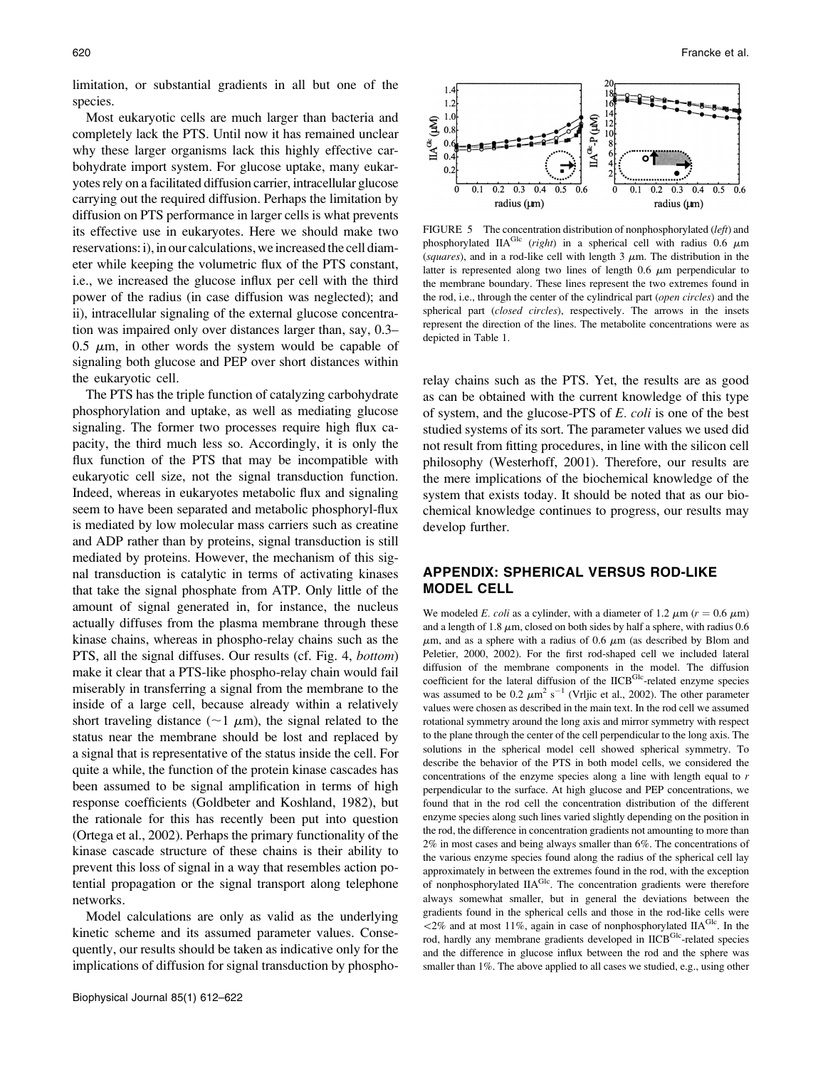limitation, or substantial gradients in all but one of the species.

Most eukaryotic cells are much larger than bacteria and completely lack the PTS. Until now it has remained unclear why these larger organisms lack this highly effective carbohydrate import system. For glucose uptake, many eukaryotes rely on a facilitated diffusion carrier, intracellular glucose carrying out the required diffusion. Perhaps the limitation by diffusion on PTS performance in larger cells is what prevents its effective use in eukaryotes. Here we should make two reservations: i), in our calculations, we increased the cell diameter while keeping the volumetric flux of the PTS constant, i.e., we increased the glucose influx per cell with the third power of the radius (in case diffusion was neglected); and ii), intracellular signaling of the external glucose concentration was impaired only over distances larger than, say, 0.3– 0.5  $\mu$ m, in other words the system would be capable of signaling both glucose and PEP over short distances within the eukaryotic cell.

The PTS has the triple function of catalyzing carbohydrate phosphorylation and uptake, as well as mediating glucose signaling. The former two processes require high flux capacity, the third much less so. Accordingly, it is only the flux function of the PTS that may be incompatible with eukaryotic cell size, not the signal transduction function. Indeed, whereas in eukaryotes metabolic flux and signaling seem to have been separated and metabolic phosphoryl-flux is mediated by low molecular mass carriers such as creatine and ADP rather than by proteins, signal transduction is still mediated by proteins. However, the mechanism of this signal transduction is catalytic in terms of activating kinases that take the signal phosphate from ATP. Only little of the amount of signal generated in, for instance, the nucleus actually diffuses from the plasma membrane through these kinase chains, whereas in phospho-relay chains such as the PTS, all the signal diffuses. Our results (cf. Fig. 4, bottom) make it clear that a PTS-like phospho-relay chain would fail miserably in transferring a signal from the membrane to the inside of a large cell, because already within a relatively short traveling distance ( $\sim$ 1  $\mu$ m), the signal related to the status near the membrane should be lost and replaced by a signal that is representative of the status inside the cell. For quite a while, the function of the protein kinase cascades has been assumed to be signal amplification in terms of high response coefficients (Goldbeter and Koshland, 1982), but the rationale for this has recently been put into question (Ortega et al., 2002). Perhaps the primary functionality of the kinase cascade structure of these chains is their ability to prevent this loss of signal in a way that resembles action potential propagation or the signal transport along telephone networks.

Model calculations are only as valid as the underlying kinetic scheme and its assumed parameter values. Consequently, our results should be taken as indicative only for the implications of diffusion for signal transduction by phospho-



FIGURE 5 The concentration distribution of nonphosphorylated (left) and phosphorylated IIA<sup>Glc</sup> (right) in a spherical cell with radius 0.6  $\mu$ m (squares), and in a rod-like cell with length  $3 \mu$ m. The distribution in the latter is represented along two lines of length  $0.6 \mu m$  perpendicular to the membrane boundary. These lines represent the two extremes found in the rod, i.e., through the center of the cylindrical part (open circles) and the spherical part (closed circles), respectively. The arrows in the insets represent the direction of the lines. The metabolite concentrations were as depicted in Table 1.

relay chains such as the PTS. Yet, the results are as good as can be obtained with the current knowledge of this type of system, and the glucose-PTS of E. coli is one of the best studied systems of its sort. The parameter values we used did not result from fitting procedures, in line with the silicon cell philosophy (Westerhoff, 2001). Therefore, our results are the mere implications of the biochemical knowledge of the system that exists today. It should be noted that as our biochemical knowledge continues to progress, our results may develop further.

# APPENDIX: SPHERICAL VERSUS ROD-LIKE MODEL CELL

We modeled E. coli as a cylinder, with a diameter of 1.2  $\mu$ m ( $r = 0.6 \mu$ m) and a length of 1.8  $\mu$ m, closed on both sides by half a sphere, with radius 0.6  $\mu$ m, and as a sphere with a radius of 0.6  $\mu$ m (as described by Blom and Peletier, 2000, 2002). For the first rod-shaped cell we included lateral diffusion of the membrane components in the model. The diffusion coefficient for the lateral diffusion of the IICB<sup>Glc</sup>-related enzyme species was assumed to be 0.2  $\mu$ m<sup>2</sup> s<sup>-1</sup> (Vrljic et al., 2002). The other parameter values were chosen as described in the main text. In the rod cell we assumed rotational symmetry around the long axis and mirror symmetry with respect to the plane through the center of the cell perpendicular to the long axis. The solutions in the spherical model cell showed spherical symmetry. To describe the behavior of the PTS in both model cells, we considered the concentrations of the enzyme species along a line with length equal to  $r$ perpendicular to the surface. At high glucose and PEP concentrations, we found that in the rod cell the concentration distribution of the different enzyme species along such lines varied slightly depending on the position in the rod, the difference in concentration gradients not amounting to more than 2% in most cases and being always smaller than 6%. The concentrations of the various enzyme species found along the radius of the spherical cell lay approximately in between the extremes found in the rod, with the exception of nonphosphorylated IIA<sup>Glc</sup>. The concentration gradients were therefore always somewhat smaller, but in general the deviations between the gradients found in the spherical cells and those in the rod-like cells were  $\langle 2\%$  and at most 11%, again in case of nonphosphorylated IIA<sup>Glc</sup>. In the rod, hardly any membrane gradients developed in IICB<sup>Glc</sup>-related species and the difference in glucose influx between the rod and the sphere was smaller than 1%. The above applied to all cases we studied, e.g., using other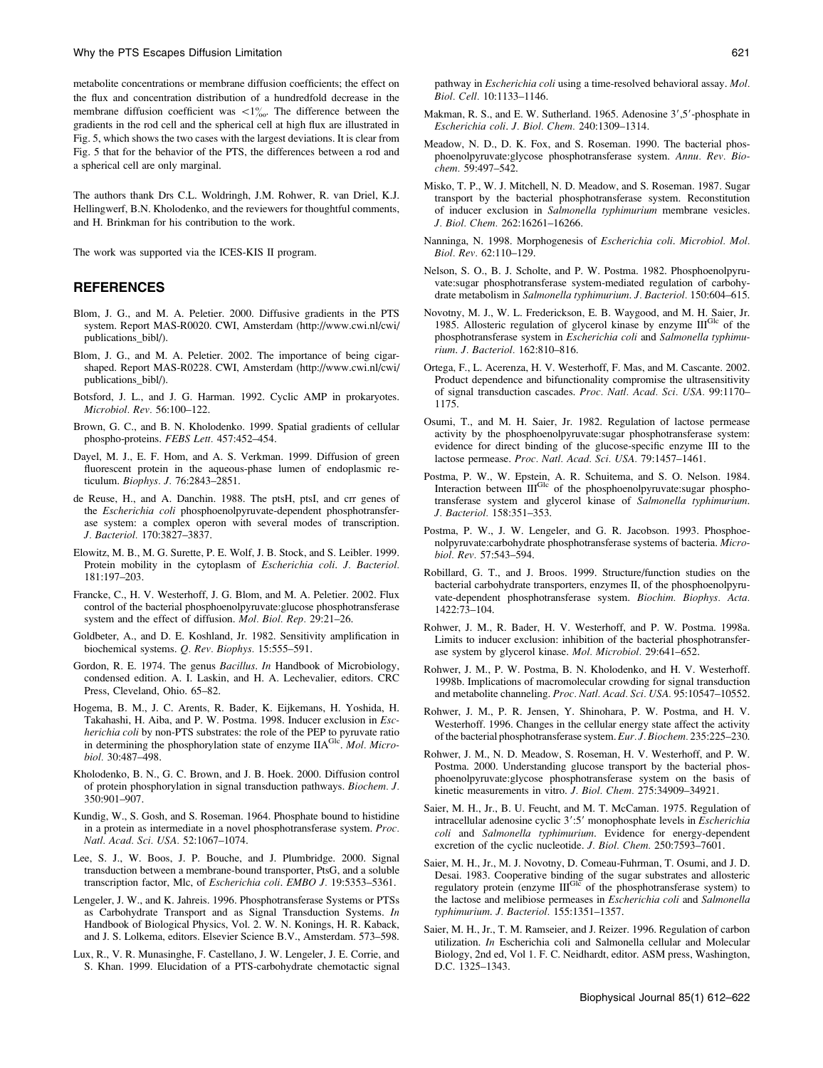metabolite concentrations or membrane diffusion coefficients; the effect on the flux and concentration distribution of a hundredfold decrease in the membrane diffusion coefficient was  $\langle 1 \rangle^{\circ}_{00}$ . The difference between the gradients in the rod cell and the spherical cell at high flux are illustrated in Fig. 5, which shows the two cases with the largest deviations. It is clear from Fig. 5 that for the behavior of the PTS, the differences between a rod and a spherical cell are only marginal.

The authors thank Drs C.L. Woldringh, J.M. Rohwer, R. van Driel, K.J. Hellingwerf, B.N. Kholodenko, and the reviewers for thoughtful comments, and H. Brinkman for his contribution to the work.

The work was supported via the ICES-KIS II program.

#### REFERENCES

- Blom, J. G., and M. A. Peletier. 2000. Diffusive gradients in the PTS system. Report MAS-R0020. CWI, Amsterdam (http://www.cwi.nl/cwi/ publications\_bibl/).
- Blom, J. G., and M. A. Peletier. 2002. The importance of being cigarshaped. Report MAS-R0228. CWI, Amsterdam (http://www.cwi.nl/cwi/ publications\_bibl/).
- Botsford, J. L., and J. G. Harman. 1992. Cyclic AMP in prokaryotes. Microbiol. Rev. 56:100–122.
- Brown, G. C., and B. N. Kholodenko. 1999. Spatial gradients of cellular phospho-proteins. FEBS Lett. 457:452–454.
- Dayel, M. J., E. F. Hom, and A. S. Verkman. 1999. Diffusion of green fluorescent protein in the aqueous-phase lumen of endoplasmic reticulum. Biophys. J. 76:2843–2851.
- de Reuse, H., and A. Danchin. 1988. The ptsH, ptsI, and crr genes of the Escherichia coli phosphoenolpyruvate-dependent phosphotransferase system: a complex operon with several modes of transcription. J. Bacteriol. 170:3827–3837.
- Elowitz, M. B., M. G. Surette, P. E. Wolf, J. B. Stock, and S. Leibler. 1999. Protein mobility in the cytoplasm of Escherichia coli. J. Bacteriol. 181:197–203.
- Francke, C., H. V. Westerhoff, J. G. Blom, and M. A. Peletier. 2002. Flux control of the bacterial phosphoenolpyruvate:glucose phosphotransferase system and the effect of diffusion. Mol. Biol. Rep. 29:21-26.
- Goldbeter, A., and D. E. Koshland, Jr. 1982. Sensitivity amplification in biochemical systems. Q. Rev. Biophys. 15:555-591.
- Gordon, R. E. 1974. The genus Bacillus. In Handbook of Microbiology, condensed edition. A. I. Laskin, and H. A. Lechevalier, editors. CRC Press, Cleveland, Ohio. 65–82.
- Hogema, B. M., J. C. Arents, R. Bader, K. Eijkemans, H. Yoshida, H. Takahashi, H. Aiba, and P. W. Postma. 1998. Inducer exclusion in Escherichia coli by non-PTS substrates: the role of the PEP to pyruvate ratio in determining the phosphorylation state of enzyme  $\text{IIA}^{\text{Glc}}$ . Mol. Microbiol. 30:487–498.
- Kholodenko, B. N., G. C. Brown, and J. B. Hoek. 2000. Diffusion control of protein phosphorylation in signal transduction pathways. Biochem. J. 350:901–907.
- Kundig, W., S. Gosh, and S. Roseman. 1964. Phosphate bound to histidine in a protein as intermediate in a novel phosphotransferase system. Proc. Natl. Acad. Sci. USA. 52:1067–1074.
- Lee, S. J., W. Boos, J. P. Bouche, and J. Plumbridge. 2000. Signal transduction between a membrane-bound transporter, PtsG, and a soluble transcription factor, Mlc, of Escherichia coli. EMBO J. 19:5353–5361.
- Lengeler, J. W., and K. Jahreis. 1996. Phosphotransferase Systems or PTSs as Carbohydrate Transport and as Signal Transduction Systems. In Handbook of Biological Physics, Vol. 2. W. N. Konings, H. R. Kaback, and J. S. Lolkema, editors. Elsevier Science B.V., Amsterdam. 573–598.
- Lux, R., V. R. Munasinghe, F. Castellano, J. W. Lengeler, J. E. Corrie, and S. Khan. 1999. Elucidation of a PTS-carbohydrate chemotactic signal

pathway in *Escherichia coli* using a time-resolved behavioral assay. Mol. Biol. Cell. 10:1133–1146.

- Makman, R. S., and E. W. Sutherland. 1965. Adenosine 3', 5'-phosphate in Escherichia coli. J. Biol. Chem. 240:1309–1314.
- Meadow, N. D., D. K. Fox, and S. Roseman. 1990. The bacterial phosphoenolpyruvate:glycose phosphotransferase system. Annu. Rev. Biochem. 59:497–542.
- Misko, T. P., W. J. Mitchell, N. D. Meadow, and S. Roseman. 1987. Sugar transport by the bacterial phosphotransferase system. Reconstitution of inducer exclusion in Salmonella typhimurium membrane vesicles. J. Biol. Chem. 262:16261–16266.
- Nanninga, N. 1998. Morphogenesis of Escherichia coli. Microbiol. Mol. Biol. Rev. 62:110–129.
- Nelson, S. O., B. J. Scholte, and P. W. Postma. 1982. Phosphoenolpyruvate:sugar phosphotransferase system-mediated regulation of carbohydrate metabolism in Salmonella typhimurium. J. Bacteriol. 150:604–615.
- Novotny, M. J., W. L. Frederickson, E. B. Waygood, and M. H. Saier, Jr. 1985. Allosteric regulation of glycerol kinase by enzyme  $III<sup>Glc</sup>$  of the phosphotransferase system in Escherichia coli and Salmonella typhimurium. J. Bacteriol. 162:810–816.
- Ortega, F., L. Acerenza, H. V. Westerhoff, F. Mas, and M. Cascante. 2002. Product dependence and bifunctionality compromise the ultrasensitivity of signal transduction cascades. Proc. Natl. Acad. Sci. USA. 99:1170– 1175.
- Osumi, T., and M. H. Saier, Jr. 1982. Regulation of lactose permease activity by the phosphoenolpyruvate:sugar phosphotransferase system: evidence for direct binding of the glucose-specific enzyme III to the lactose permease. Proc. Natl. Acad. Sci. USA. 79:1457–1461.
- Postma, P. W., W. Epstein, A. R. Schuitema, and S. O. Nelson. 1984.<br>Interaction between III<sup>Glc</sup> of the phosphoenolpyruvate:sugar phosphotransferase system and glycerol kinase of Salmonella typhimurium. J. Bacteriol. 158:351–353.
- Postma, P. W., J. W. Lengeler, and G. R. Jacobson. 1993. Phosphoenolpyruvate:carbohydrate phosphotransferase systems of bacteria. Microbiol. Rev. 57:543–594.
- Robillard, G. T., and J. Broos. 1999. Structure/function studies on the bacterial carbohydrate transporters, enzymes II, of the phosphoenolpyruvate-dependent phosphotransferase system. Biochim. Biophys. Acta. 1422:73–104.
- Rohwer, J. M., R. Bader, H. V. Westerhoff, and P. W. Postma. 1998a. Limits to inducer exclusion: inhibition of the bacterial phosphotransferase system by glycerol kinase. Mol. Microbiol. 29:641–652.
- Rohwer, J. M., P. W. Postma, B. N. Kholodenko, and H. V. Westerhoff. 1998b. Implications of macromolecular crowding for signal transduction and metabolite channeling. Proc. Natl. Acad. Sci. USA. 95:10547–10552.
- Rohwer, J. M., P. R. Jensen, Y. Shinohara, P. W. Postma, and H. V. Westerhoff. 1996. Changes in the cellular energy state affect the activity of the bacterial phosphotransferase system. Eur. J. Biochem. 235:225–230.
- Rohwer, J. M., N. D. Meadow, S. Roseman, H. V. Westerhoff, and P. W. Postma. 2000. Understanding glucose transport by the bacterial phosphoenolpyruvate:glycose phosphotransferase system on the basis of kinetic measurements in vitro. J. Biol. Chem. 275:34909–34921.
- Saier, M. H., Jr., B. U. Feucht, and M. T. McCaman. 1975. Regulation of intracellular adenosine cyclic 3':5' monophosphate levels in Escherichia coli and Salmonella typhimurium. Evidence for energy-dependent excretion of the cyclic nucleotide. J. Biol. Chem. 250:7593–7601.
- Saier, M. H., Jr., M. J. Novotny, D. Comeau-Fuhrman, T. Osumi, and J. D. Desai. 1983. Cooperative binding of the sugar substrates and allosteric<br>regulatory protein (enzyme III<sup>Glc</sup> of the phosphotransferase system) to the lactose and melibiose permeases in Escherichia coli and Salmonella typhimurium. J. Bacteriol. 155:1351–1357.
- Saier, M. H., Jr., T. M. Ramseier, and J. Reizer. 1996. Regulation of carbon utilization. In Escherichia coli and Salmonella cellular and Molecular Biology, 2nd ed, Vol 1. F. C. Neidhardt, editor. ASM press, Washington, D.C. 1325–1343.